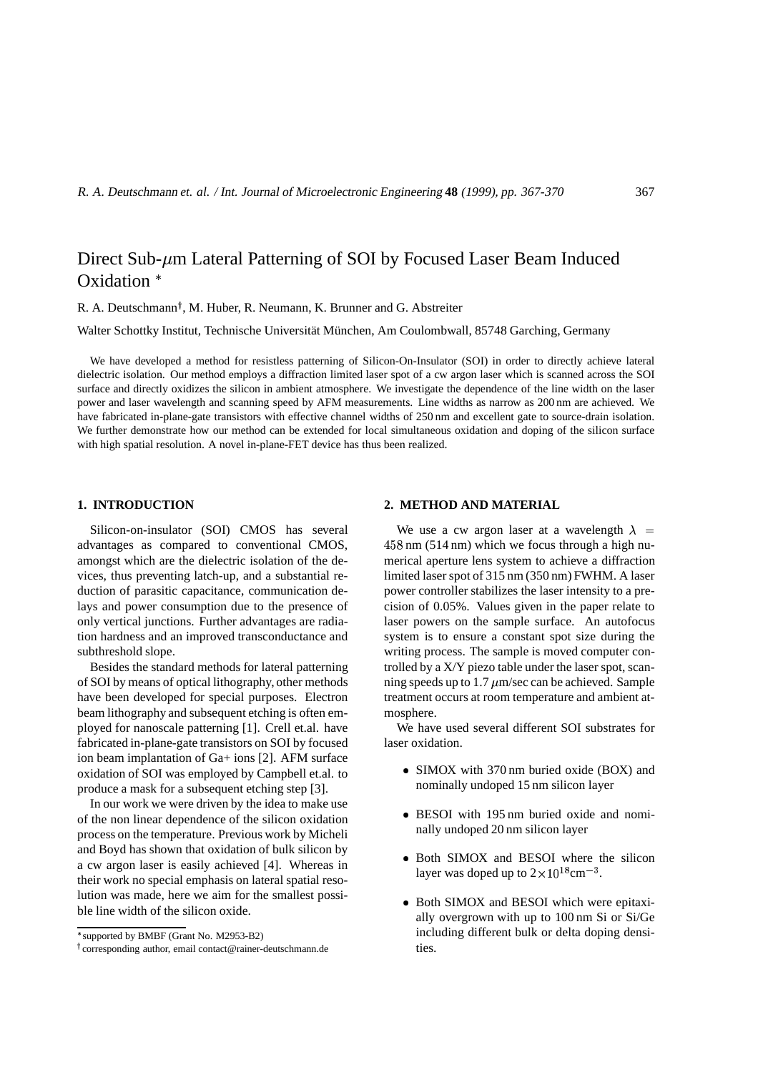# Direct Sub- $\mu$ m Lateral Patterning of SOI by Focused Laser Beam Induced Oxidation<sup>\*</sup>

R. A. Deutschmann<sup>†</sup>, M. Huber, R. Neumann, K. Brunner and G. Abstreiter

Walter Schottky Institut, Technische Universität München, Am Coulombwall, 85748 Garching, Germany

We have developed a method for resistless patterning of Silicon-On-Insulator (SOI) in order to directly achieve lateral dielectric isolation. Our method employs a diffraction limited laser spot of a cw argon laser which is scanned across the SOI surface and directly oxidizes the silicon in ambient atmosphere. We investigate the dependence of the line width on the laser power and laser wavelength and scanning speed by AFM measurements. Line widths as narrow as 200 nm are achieved. We have fabricated in-plane-gate transistors with effective channel widths of 250 nm and excellent gate to source-drain isolation. We further demonstrate how our method can be extended for local simultaneous oxidation and doping of the silicon surface with high spatial resolution. A novel in-plane-FET device has thus been realized.

## **1. INTRODUCTION**

Silicon-on-insulator (SOI) CMOS has several advantages as compared to conventional CMOS, amongst which are the dielectric isolation of the devices, thus preventing latch-up, and a substantial reduction of parasitic capacitance, communication delays and power consumption due to the presence of only vertical junctions. Further advantages are radiation hardness and an improved transconductance and subthreshold slope.

Besides the standard methods for lateral patterning of SOI by means of optical lithography, other methods have been developed for special purposes. Electron beam lithography and subsequent etching is often employed for nanoscale patterning [1]. Crell et.al. have fabricated in-plane-gate transistors on SOI by focused ion beam implantation of Ga+ ions [2]. AFM surface oxidation of SOI was employed by Campbell et.al. to produce a mask for a subsequent etching step [3].

In our work we were driven by the idea to make use of the non linear dependence of the silicon oxidation process on the temperature. Previous work by Micheli and Boyd has shown that oxidation of bulk silicon by a cw argon laser is easily achieved [4]. Whereas in their work no special emphasis on lateral spatial resolution was made, here we aim for the smallest possible line width of the silicon oxide.

#### **2. METHOD AND MATERIAL**

We use a cw argon laser at a wavelength  $\lambda =$ 458 nm (514 nm) which we focus through a high numerical aperture lens system to achieve a diffraction limited laser spot of 315 nm (350 nm) FWHM. A laser power controller stabilizes the laser intensity to a precision of 0.05%. Values given in the paper relate to laser powers on the sample surface. An autofocus system is to ensure a constant spot size during the writing process. The sample is moved computer controlled by a X/Y piezo table under the laser spot, scanning speeds up to  $1.7 \mu$ m/sec can be achieved. Sample treatment occurs at room temperature and ambient atmosphere.

We have used several different SOI substrates for laser oxidation.

- SIMOX with 370 nm buried oxide (BOX) and nominally undoped 15 nm silicon layer
- BESOI with 195 nm buried oxide and nominally undoped 20 nm silicon layer
- Both SIMOX and BESOI where the silicon layer was doped up to  $2 \times 10^{18}$  cm<sup>-3</sup>.
- Both SIMOX and BESOI which were epitaxially overgrown with up to 100 nm Si or Si/Ge including different bulk or delta doping densities.

supported by BMBF (Grant No. M2953-B2)

corresponding author, email contact@rainer-deutschmann.de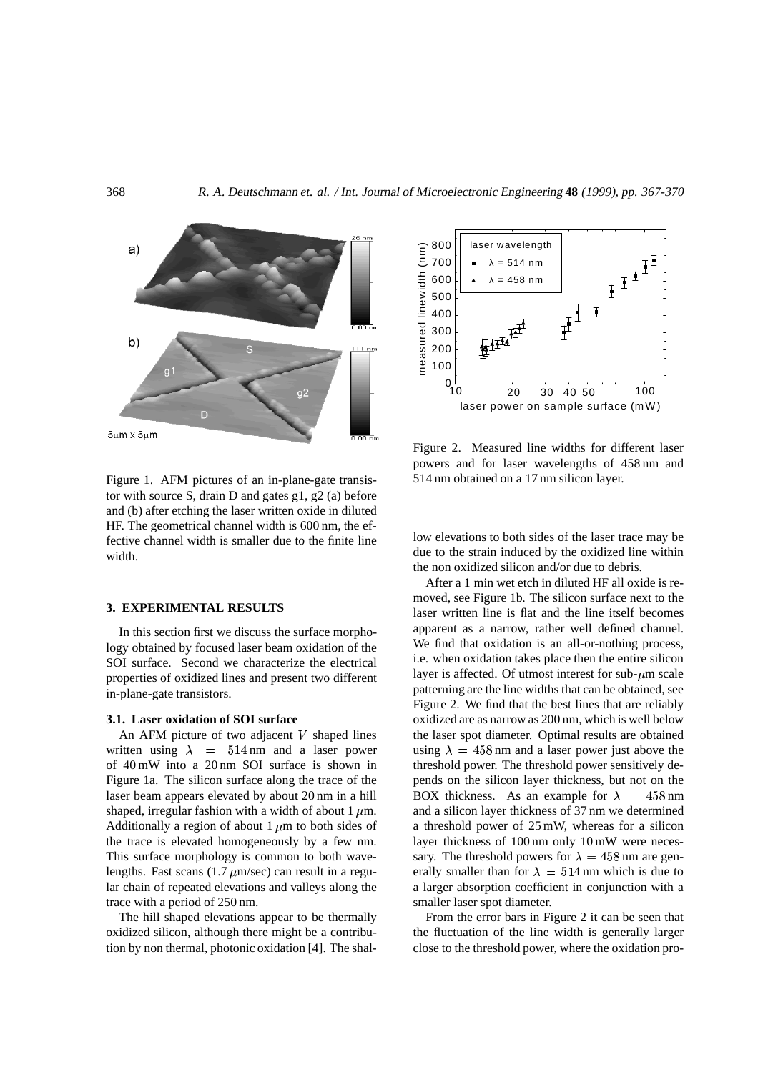

Figure 1. AFM pictures of an in-plane-gate transistor with source S, drain D and gates g1, g2 (a) before and (b) after etching the laser written oxide in diluted HF. The geometrical channel width is 600 nm, the effective channel width is smaller due to the finite line width.

# **3. EXPERIMENTAL RESULTS**

In this section first we discuss the surface morphology obtained by focused laser beam oxidation of the SOI surface. Second we characterize the electrical properties of oxidized lines and present two different in-plane-gate transistors.

#### **3.1. Laser oxidation of SOI surface**

An AFM picture of two adjacent  $V$  shaped lines written using  $\lambda = 514 \text{ nm}$  and a laser power of 40 mW into a 20 nm SOI surface is shown in Figure 1a. The silicon surface along the trace of the laser beam appears elevated by about 20 nm in a hill shaped, irregular fashion with a width of about 1  $\mu$ m. Additionally a region of about 1  $\mu$ m to both sides of the trace is elevated homogeneously by a few nm. This surface morphology is common to both wavelengths. Fast scans  $(1.7 \mu m/sec)$  can result in a regular chain of repeated elevations and valleys along the trace with a period of 250 nm.

The hill shaped elevations appear to be thermally oxidized silicon, although there might be a contribution by non thermal, photonic oxidation [4]. The shal-



Figure 2. Measured line widths for different laser powers and for laser wavelengths of 458 nm and 514 nm obtained on a 17 nm silicon layer.

low elevations to both sides of the laser trace may be due to the strain induced by the oxidized line within the non oxidized silicon and/or due to debris.

After a 1 min wet etch in diluted HF all oxide is removed, see Figure 1b. The silicon surface next to the laser written line is flat and the line itself becomes apparent as a narrow, rather well defined channel. We find that oxidation is an all-or-nothing process, i.e. when oxidation takes place then the entire silicon layer is affected. Of utmost interest for sub- $\mu$ m scale patterning are the line widths that can be obtained, see Figure 2. We find that the best lines that are reliably oxidized are as narrow as 200 nm, which is well below the laser spot diameter. Optimal results are obtained using  $\lambda = 458$  nm and a laser power just above the threshold power. The threshold power sensitively depends on the silicon layer thickness, but not on the BOX thickness. As an example for  $\lambda = 458 \text{ nm}$ and a silicon layer thickness of 37 nm we determined a threshold power of 25 mW, whereas for a silicon layer thickness of 100 nm only 10 mW were necessary. The threshold powers for  $\lambda = 458$  nm are generally smaller than for  $\lambda = 514$  nm which is due to a larger absorption coefficient in conjunction with a smaller laser spot diameter.

From the error bars in Figure 2 it can be seen that the fluctuation of the line width is generally larger close to the threshold power, where the oxidation pro-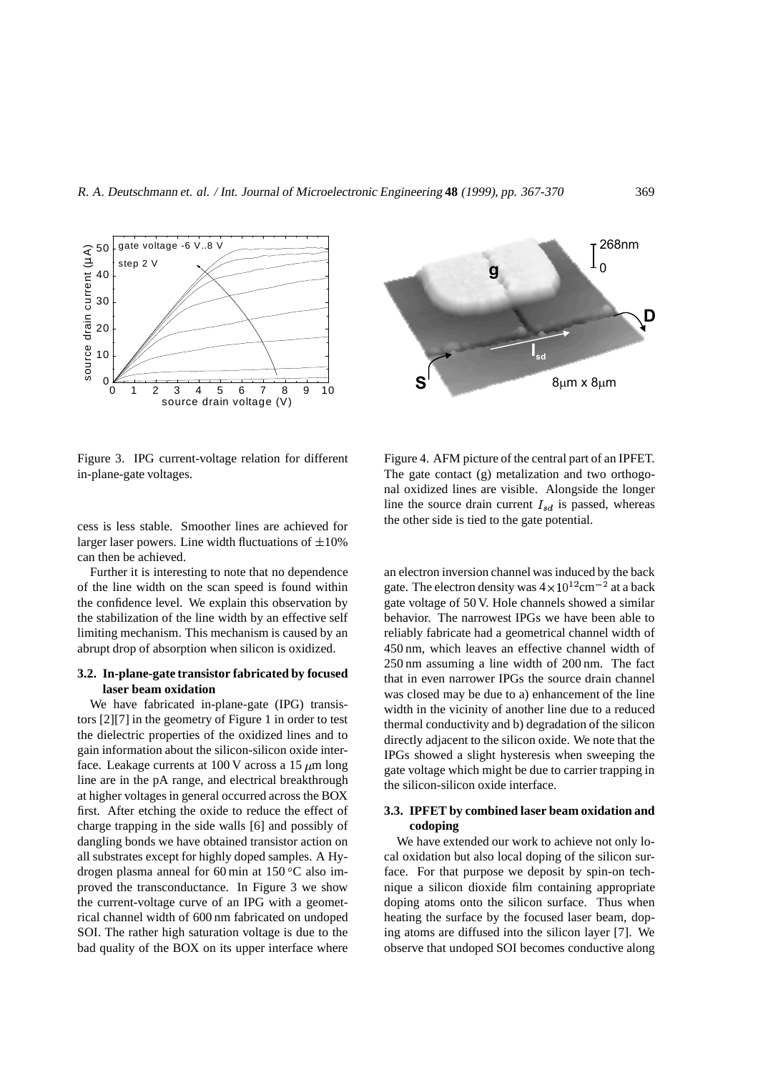

Figure 3. IPG current-voltage relation for different in-plane-gate voltages.

cess is less stable. Smoother lines are achieved for larger laser powers. Line width fluctuations of  $\pm 10\%$ can then be achieved.

Further it is interesting to note that no dependence of the line width on the scan speed is found within the confidence level. We explain this observation by the stabilization of the line width by an effective self limiting mechanism. This mechanism is caused by an abrupt drop of absorption when silicon is oxidized.

## **3.2. In-plane-gate transistor fabricated by focused laser beam oxidation**

We have fabricated in-plane-gate (IPG) transistors [2][7] in the geometry of Figure 1 in order to test the dielectric properties of the oxidized lines and to gain information about the silicon-silicon oxide interface. Leakage currents at 100 V across a  $15 \mu m$  long line are in the pA range, and electrical breakthrough at higher voltages in general occurred across the BOX first. After etching the oxide to reduce the effect of charge trapping in the side walls [6] and possibly of dangling bonds we have obtained transistor action on all substrates except for highly doped samples. A Hydrogen plasma anneal for 60 min at  $150\,^{\circ}$ C also improved the transconductance. In Figure 3 we show the current-voltage curve of an IPG with a geometrical channel width of 600 nm fabricated on undoped SOI. The rather high saturation voltage is due to the bad quality of the BOX on its upper interface where



Figure 4. AFM picture of the central part of an IPFET. The gate contact (g) metalization and two orthogonal oxidized lines are visible. Alongside the longer line the source drain current  $I_{sd}$  is passed, whereas the other side is tied to the gate potential.

an electron inversion channel was induced by the back gate. The electron density was  $4 \times 10^{12}$  cm<sup>-2</sup> at a back gate voltage of 50 V. Hole channels showed a similar behavior. The narrowest IPGs we have been able to reliably fabricate had a geometrical channel width of 450 nm, which leaves an effective channel width of 250 nm assuming a line width of 200 nm. The fact that in even narrower IPGs the source drain channel was closed may be due to a) enhancement of the line width in the vicinity of another line due to a reduced thermal conductivity and b) degradation of the silicon directly adjacent to the silicon oxide. We note that the IPGs showed a slight hysteresis when sweeping the gate voltage which might be due to carrier trapping in the silicon-silicon oxide interface.

# **3.3. IPFET by combined laser beam oxidation and codoping**

We have extended our work to achieve not only local oxidation but also local doping of the silicon surface. For that purpose we deposit by spin-on technique a silicon dioxide film containing appropriate doping atoms onto the silicon surface. Thus when heating the surface by the focused laser beam, doping atoms are diffused into the silicon layer [7]. We observe that undoped SOI becomes conductive along